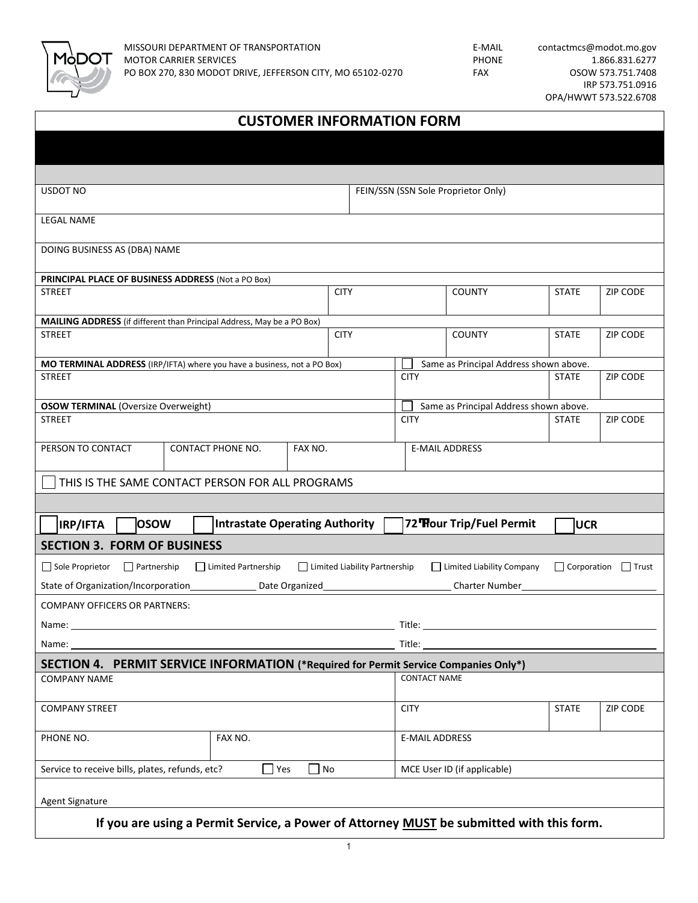

| <b>CUSTOMER INFORMATION FORM</b>                                                                                                                              |               |  |             |                                        |                                        |              |                 |  |  |
|---------------------------------------------------------------------------------------------------------------------------------------------------------------|---------------|--|-------------|----------------------------------------|----------------------------------------|--------------|-----------------|--|--|
|                                                                                                                                                               |               |  |             |                                        |                                        |              |                 |  |  |
|                                                                                                                                                               |               |  |             |                                        |                                        |              |                 |  |  |
| <b>USDOT NO</b>                                                                                                                                               |               |  |             |                                        | FEIN/SSN (SSN Sole Proprietor Only)    |              |                 |  |  |
|                                                                                                                                                               |               |  |             |                                        |                                        |              |                 |  |  |
| <b>LEGAL NAME</b>                                                                                                                                             |               |  |             |                                        |                                        |              |                 |  |  |
| DOING BUSINESS AS (DBA) NAME                                                                                                                                  |               |  |             |                                        |                                        |              |                 |  |  |
|                                                                                                                                                               |               |  |             |                                        |                                        |              |                 |  |  |
| PRINCIPAL PLACE OF BUSINESS ADDRESS (Not a PO Box)                                                                                                            |               |  | <b>CITY</b> |                                        |                                        |              |                 |  |  |
|                                                                                                                                                               | <b>STREET</b> |  |             |                                        | <b>COUNTY</b>                          | <b>STATE</b> | ZIP CODE        |  |  |
| MAILING ADDRESS (if different than Principal Address, May be a PO Box)                                                                                        |               |  |             |                                        |                                        |              |                 |  |  |
| <b>STREET</b>                                                                                                                                                 |               |  | <b>CITY</b> |                                        | <b>COUNTY</b>                          | <b>STATE</b> | ZIP CODE        |  |  |
| MO TERMINAL ADDRESS (IRP/IFTA) where you have a business, not a PO Box)                                                                                       |               |  |             | Same as Principal Address shown above. |                                        |              |                 |  |  |
| <b>STREET</b>                                                                                                                                                 |               |  |             | <b>CITY</b>                            |                                        | <b>STATE</b> | <b>ZIP CODE</b> |  |  |
|                                                                                                                                                               |               |  |             |                                        |                                        |              |                 |  |  |
| <b>OSOW TERMINAL (Oversize Overweight)</b>                                                                                                                    |               |  |             |                                        | Same as Principal Address shown above. |              |                 |  |  |
| <b>STREET</b>                                                                                                                                                 |               |  |             | <b>CITY</b>                            |                                        | <b>STATE</b> | ZIP CODE        |  |  |
| PERSON TO CONTACT<br>CONTACT PHONE NO.<br>FAX NO.                                                                                                             |               |  |             |                                        | <b>E-MAIL ADDRESS</b>                  |              |                 |  |  |
|                                                                                                                                                               |               |  |             |                                        |                                        |              |                 |  |  |
| THIS IS THE SAME CONTACT PERSON FOR ALL PROGRAMS                                                                                                              |               |  |             |                                        |                                        |              |                 |  |  |
|                                                                                                                                                               |               |  |             |                                        |                                        |              |                 |  |  |
| <b>Intrastate Operating Authority</b><br><b>OSOW</b><br><b>IRP/IFTA</b>                                                                                       |               |  |             | 72 Hour Trip/Fuel Permit               |                                        | <b>UCR</b>   |                 |  |  |
| <b>SECTION 3. FORM OF BUSINESS</b>                                                                                                                            |               |  |             |                                        |                                        |              |                 |  |  |
| Limited Liability Company<br>Sole Proprietor<br>$\Box$ Partnership<br>Limited Partnership<br>Limited Liability Partnership<br>$\Box$ Corporation $\Box$ Trust |               |  |             |                                        |                                        |              |                 |  |  |
| State of Organization/Incorporation_______________ Date Organized_<br>Charter Number_                                                                         |               |  |             |                                        |                                        |              |                 |  |  |
| <b>COMPANY OFFICERS OR PARTNERS:</b>                                                                                                                          |               |  |             |                                        |                                        |              |                 |  |  |
| Name:                                                                                                                                                         |               |  |             |                                        |                                        |              |                 |  |  |
| Name:                                                                                                                                                         |               |  |             | Title:                                 |                                        |              |                 |  |  |
| SECTION 4. PERMIT SERVICE INFORMATION (*Required for Permit Service Companies Only*)                                                                          |               |  |             |                                        |                                        |              |                 |  |  |
| <b>COMPANY NAME</b>                                                                                                                                           |               |  |             | <b>CONTACT NAME</b>                    |                                        |              |                 |  |  |
|                                                                                                                                                               |               |  |             |                                        |                                        |              |                 |  |  |
| <b>COMPANY STREET</b>                                                                                                                                         |               |  |             | <b>CITY</b>                            |                                        | <b>STATE</b> | ZIP CODE        |  |  |
| PHONE NO.                                                                                                                                                     | FAX NO.       |  |             |                                        | <b>E-MAIL ADDRESS</b>                  |              |                 |  |  |
|                                                                                                                                                               |               |  |             |                                        |                                        |              |                 |  |  |
| Service to receive bills, plates, refunds, etc?<br>$\Box$ Yes<br>$\Box$ No                                                                                    |               |  |             | MCE User ID (if applicable)            |                                        |              |                 |  |  |
| Agent Signature                                                                                                                                               |               |  |             |                                        |                                        |              |                 |  |  |
|                                                                                                                                                               |               |  |             |                                        |                                        |              |                 |  |  |
| If you are using a Permit Service, a Power of Attorney MUST be submitted with this form.                                                                      |               |  |             |                                        |                                        |              |                 |  |  |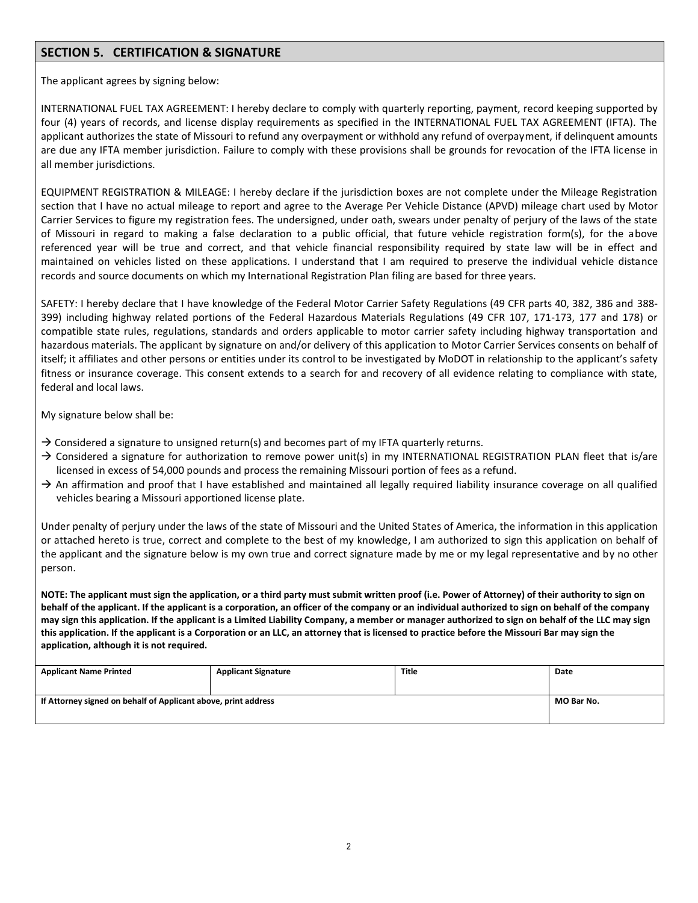## **SECTION 5. CERTIFICATION & SIGNATURE**

The applicant agrees by signing below:

INTERNATIONAL FUEL TAX AGREEMENT: I hereby declare to comply with quarterly reporting, payment, record keeping supported by four (4) years of records, and license display requirements as specified in the INTERNATIONAL FUEL TAX AGREEMENT (IFTA). The applicant authorizes the state of Missouri to refund any overpayment or withhold any refund of overpayment, if delinquent amounts are due any IFTA member jurisdiction. Failure to comply with these provisions shall be grounds for revocation of the IFTA license in all member jurisdictions.

EQUIPMENT REGISTRATION & MILEAGE: I hereby declare if the jurisdiction boxes are not complete under the Mileage Registration section that I have no actual mileage to report and agree to the Average Per Vehicle Distance (APVD) mileage chart used by Motor Carrier Services to figure my registration fees. The undersigned, under oath, swears under penalty of perjury of the laws of the state of Missouri in regard to making a false declaration to a public official, that future vehicle registration form(s), for the above referenced year will be true and correct, and that vehicle financial responsibility required by state law will be in effect and maintained on vehicles listed on these applications. I understand that I am required to preserve the individual vehicle distance records and source documents on which my International Registration Plan filing are based for three years.

 itself; it affiliates and other persons or entities under its control to be investigated by MoDOT in relationship to the applicant's safety SAFETY: I hereby declare that I have knowledge of the Federal Motor Carrier Safety Regulations (49 CFR parts 40, 382, 386 and 388- 399) including highway related portions of the Federal Hazardous Materials Regulations (49 CFR 107, 171-173, 177 and 178) or compatible state rules, regulations, standards and orders applicable to motor carrier safety including highway transportation and hazardous materials. The applicant by signature on and/or delivery of this application to Motor Carrier Services consents on behalf of fitness or insurance coverage. This consent extends to a search for and recovery of all evidence relating to compliance with state, federal and local laws.

My signature below shall be:

- $\rightarrow$  Considered a signature to unsigned return(s) and becomes part of my IFTA quarterly returns.
- $\rightarrow$  Considered a signature for authorization to remove power unit(s) in my INTERNATIONAL REGISTRATION PLAN fleet that is/are licensed in excess of 54,000 pounds and process the remaining Missouri portion of fees as a refund.
- $\rightarrow$  An affirmation and proof that I have established and maintained all legally required liability insurance coverage on all qualified vehicles bearing a Missouri apportioned license plate.

Under penalty of perjury under the laws of the state of Missouri and the United States of America, the information in this application or attached hereto is true, correct and complete to the best of my knowledge, I am authorized to sign this application on behalf of the applicant and the signature below is my own true and correct signature made by me or my legal representative and by no other person.

**NOTE: The applicant must sign the application, or a third party must submit written proof (i.e. Power of Attorney) of their authority to sign on behalf of the applicant. If the applicant is a corporation, an officer of the company or an individual authorized to sign on behalf of the company may sign this application. If the applicant is a Limited Liability Company, a member or manager authorized to sign on behalf of the LLC may sign this application. If the applicant is a Corporation or an LLC, an attorney that is licensed to practice before the Missouri Bar may sign the application, although it is not required.** 

| <b>Applicant Name Printed</b>                                  | <b>Applicant Signature</b> | <b>Title</b> | Date |
|----------------------------------------------------------------|----------------------------|--------------|------|
| If Attorney signed on behalf of Applicant above, print address | MO Bar No.                 |              |      |